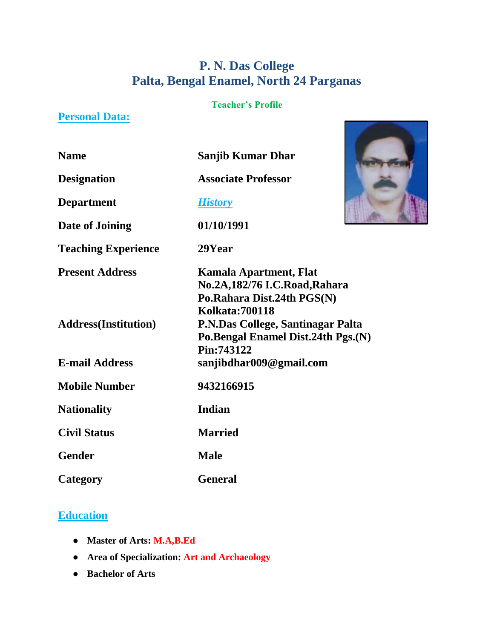# **P. N. Das College Palta, Bengal Enamel, North 24 Parganas**

### **Teacher's Profile**

## **Personal Data:**

| <b>Name</b> | <b>Sanjib Kumar Dhar</b> |
|-------------|--------------------------|
|             |                          |

**Designation Associate Professor**

**Department** *History*

**Date of Joining 01/10/1991**

**Teaching Experience 29Year**



**Civil Status Married**

**Gender Male**

**Category General**

# **Education**

- **Master of Arts: M.A,B.Ed**
- **Area of Specialization: Art and Archaeology**
- **Bachelor of Arts**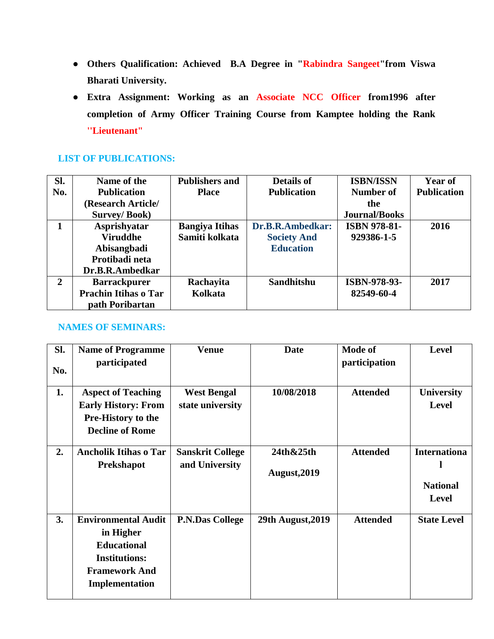- **Others Qualification: Achieved B.A Degree in "Rabindra Sangeet"from Viswa Bharati University.**
- **Extra Assignment: Working as an Associate NCC Officer from1996 after completion of Army Officer Training Course from Kamptee holding the Rank ''Lieutenant"**

### **LIST OF PUBLICATIONS:**

| Sl.          | Name of the                 | <b>Publishers and</b> | <b>Details of</b>  | <b>ISBN/ISSN</b>     | <b>Year of</b>     |
|--------------|-----------------------------|-----------------------|--------------------|----------------------|--------------------|
| No.          | <b>Publication</b>          | <b>Place</b>          | <b>Publication</b> | Number of            | <b>Publication</b> |
|              | (Research Article/          |                       |                    | the                  |                    |
|              | <b>Survey/Book)</b>         |                       |                    | <b>Journal/Books</b> |                    |
|              | <b>Asprishyatar</b>         | <b>Bangiya Itihas</b> | Dr.B.R.Ambedkar:   | <b>ISBN 978-81-</b>  | 2016               |
|              | <b>Viruddhe</b>             | Samiti kolkata        | <b>Society And</b> | 929386-1-5           |                    |
|              | Abisangbadi                 |                       | <b>Education</b>   |                      |                    |
|              | Protibadi neta              |                       |                    |                      |                    |
|              | Dr.B.R.Ambedkar             |                       |                    |                      |                    |
| $\mathbf{2}$ | <b>Barrackpurer</b>         | Rachayita             | <b>Sandhitshu</b>  | ISBN-978-93-         | 2017               |
|              | <b>Prachin Itihas o Tar</b> | Kolkata               |                    | 82549-60-4           |                    |
|              | path Poribartan             |                       |                    |                      |                    |

### **NAMES OF SEMINARS:**

| SI.<br>No. | <b>Name of Programme</b><br>participated                                                                                        | <b>Venue</b>                              | <b>Date</b>               | <b>Mode of</b><br>participation | <b>Level</b>                                           |
|------------|---------------------------------------------------------------------------------------------------------------------------------|-------------------------------------------|---------------------------|---------------------------------|--------------------------------------------------------|
|            |                                                                                                                                 |                                           |                           |                                 |                                                        |
| 1.         | <b>Aspect of Teaching</b><br><b>Early History: From</b><br><b>Pre-History to the</b><br><b>Decline of Rome</b>                  | <b>West Bengal</b><br>state university    | 10/08/2018                | <b>Attended</b>                 | <b>University</b><br><b>Level</b>                      |
|            |                                                                                                                                 |                                           |                           |                                 |                                                        |
| 2.         | <b>Ancholik Itihas o Tar</b><br><b>Prekshapot</b>                                                                               | <b>Sanskrit College</b><br>and University | 24th&25th<br>August, 2019 | <b>Attended</b>                 | <b>Internationa</b><br><b>National</b><br><b>Level</b> |
| 3.         | <b>Environmental Audit</b><br>in Higher<br><b>Educational</b><br><b>Institutions:</b><br><b>Framework And</b><br>Implementation | <b>P.N.Das College</b>                    | <b>29th August, 2019</b>  | <b>Attended</b>                 | <b>State Level</b>                                     |